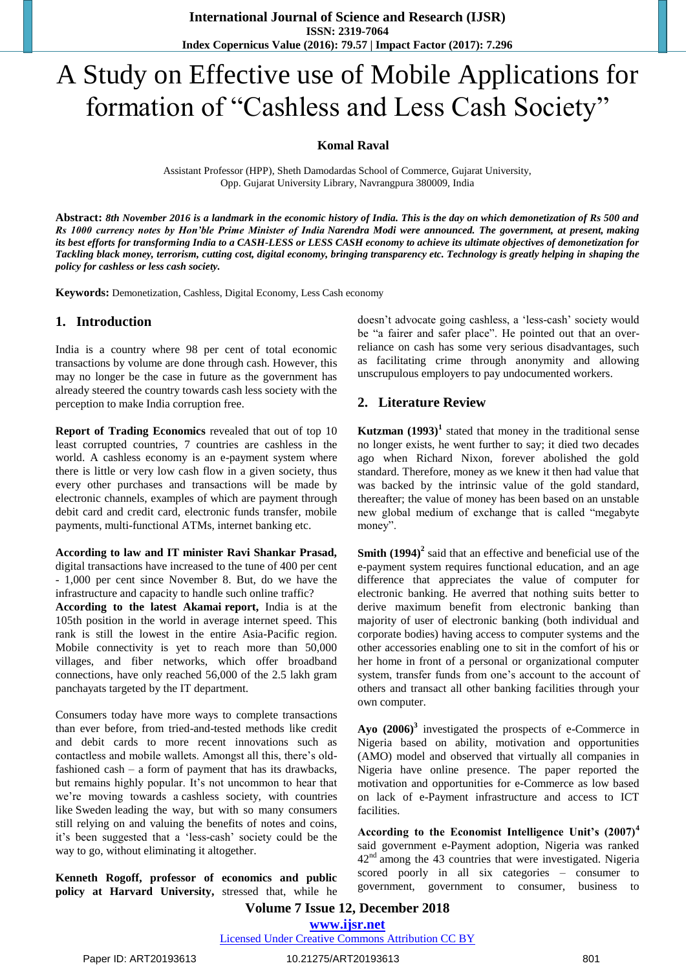# A Study on Effective use of Mobile Applications for formation of "Cashless and Less Cash Society"

#### **Komal Raval**

Assistant Professor (HPP), Sheth Damodardas School of Commerce, Gujarat University, Opp. Gujarat University Library, Navrangpura 380009, India

**Abstract:** *8th November 2016 is a landmark in the economic history of India. This is the day on which demonetization of Rs 500 and Rs 1000 currency notes by Hon'ble Prime Minister of India Narendra Modi were announced. The government, at present, making its best efforts for transforming India to a CASH-LESS or LESS CASH economy to achieve its ultimate objectives of demonetization for Tackling black money, terrorism, cutting cost, digital economy, bringing transparency etc. Technology is greatly helping in shaping the policy for cashless or less cash society.*

**Keywords:** Demonetization, Cashless, Digital Economy, Less Cash economy

### **1. Introduction**

India is a country where 98 per cent of total economic transactions by volume are done through cash. However, this may no longer be the case in future as the government has already steered the country towards cash less society with the perception to make India corruption free.

**Report of Trading Economics** revealed that out of top 10 least corrupted countries, 7 countries are cashless in the world. A cashless economy is an e-payment system where there is little or very low cash flow in a given society, thus every other purchases and transactions will be made by electronic channels, examples of which are payment through debit card and credit card, electronic funds transfer, mobile payments, multi-functional ATMs, internet banking etc.

**According to law and IT minister Ravi Shankar Prasad,** digital transactions have increased to the tune of 400 per cent - 1,000 per cent since November 8. But, do we have the infrastructure and capacity to handle such online traffic?

**According to the latest Akamai report,** India is at the 105th position in the world in average internet speed. This rank is still the lowest in the entire Asia-Pacific region. Mobile connectivity is yet to reach more than 50,000 villages, and fiber networks, which offer broadband connections, have only reached 56,000 of the 2.5 lakh gram panchayats targeted by the IT department.

Consumers today have more ways to complete transactions than ever before, from tried-and-tested methods like credit and debit cards to more recent innovations such as contactless and mobile wallets. Amongst all this, there"s oldfashioned cash – a form of payment that has its drawbacks, but remains highly popular. It's not uncommon to hear that we"re moving towards a [cashless society,](http://www.visualcapitalist.com/shift-cashless-society-snowballing/) with countries like [Sweden](https://www.theguardian.com/business/2016/jun/04/sweden-cashless-society-cards-phone-apps-leading-europe) leading the way, but with so many consumers still relying on and valuing the benefits of notes and coins, it's been suggested that a 'less-cash' society could be the way to go, without eliminating it altogether.

**Kenneth Rogoff, professor of economics and public policy at Harvard University,** stressed that, while he doesn't advocate going cashless, a 'less-cash' society would be "a fairer and safer place". He pointed out that an overreliance on cash has some very serious disadvantages, such as facilitating crime through anonymity and allowing unscrupulous employers to pay undocumented workers.

### **2. Literature Review**

**Kutzman** (1993)<sup>1</sup> stated that money in the traditional sense no longer exists, he went further to say; it died two decades ago when Richard Nixon, forever abolished the gold standard. Therefore, money as we knew it then had value that was backed by the intrinsic value of the gold standard, thereafter; the value of money has been based on an unstable new global medium of exchange that is called "megabyte money".

**Smith (1994)<sup>2</sup>** said that an effective and beneficial use of the e-payment system requires functional education, and an age difference that appreciates the value of computer for electronic banking. He averred that nothing suits better to derive maximum benefit from electronic banking than majority of user of electronic banking (both individual and corporate bodies) having access to computer systems and the other accessories enabling one to sit in the comfort of his or her home in front of a personal or organizational computer system, transfer funds from one's account to the account of others and transact all other banking facilities through your own computer.

**Ayo (2006)<sup>3</sup>** investigated the prospects of e-Commerce in Nigeria based on ability, motivation and opportunities (AMO) model and observed that virtually all companies in Nigeria have online presence. The paper reported the motivation and opportunities for e-Commerce as low based on lack of e-Payment infrastructure and access to ICT facilities.

**According to the Economist Intelligence Unit's (2007)<sup>4</sup>** said government e-Payment adoption, Nigeria was ranked 42nd among the 43 countries that were investigated. Nigeria scored poorly in all six categories – consumer to government, government to consumer, business to

# **Volume 7 Issue 12, December 2018**

**www.ijsr.net**

Licensed Under Creative Commons Attribution CC BY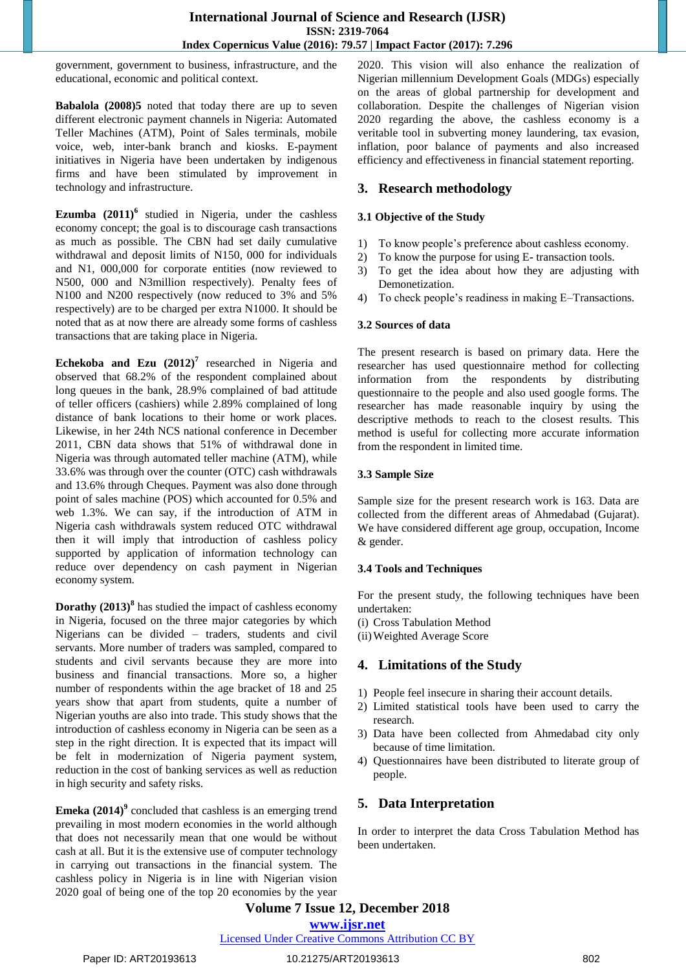government, government to business, infrastructure, and the educational, economic and political context.

**Babalola (2008)5** noted that today there are up to seven different electronic payment channels in Nigeria: Automated Teller Machines (ATM), Point of Sales terminals, mobile voice, web, inter-bank branch and kiosks. E-payment initiatives in Nigeria have been undertaken by indigenous firms and have been stimulated by improvement in technology and infrastructure.

**Ezumba (2011)<sup>6</sup>** studied in Nigeria, under the cashless economy concept; the goal is to discourage cash transactions as much as possible. The CBN had set daily cumulative withdrawal and deposit limits of N150, 000 for individuals and N1, 000,000 for corporate entities (now reviewed to N500, 000 and N3million respectively). Penalty fees of N100 and N200 respectively (now reduced to 3% and 5% respectively) are to be charged per extra N1000. It should be noted that as at now there are already some forms of cashless transactions that are taking place in Nigeria.

**Echekoba and Ezu (2012)<sup>7</sup>** researched in Nigeria and observed that 68.2% of the respondent complained about long queues in the bank, 28.9% complained of bad attitude of teller officers (cashiers) while 2.89% complained of long distance of bank locations to their home or work places. Likewise, in her 24th NCS national conference in December 2011, CBN data shows that 51% of withdrawal done in Nigeria was through automated teller machine (ATM), while 33.6% was through over the counter (OTC) cash withdrawals and 13.6% through Cheques. Payment was also done through point of sales machine (POS) which accounted for 0.5% and web 1.3%. We can say, if the introduction of ATM in Nigeria cash withdrawals system reduced OTC withdrawal then it will imply that introduction of cashless policy supported by application of information technology can reduce over dependency on cash payment in Nigerian economy system.

**Dorathy (2013)<sup>8</sup>** has studied the impact of cashless economy in Nigeria, focused on the three major categories by which Nigerians can be divided – traders, students and civil servants. More number of traders was sampled, compared to students and civil servants because they are more into business and financial transactions. More so, a higher number of respondents within the age bracket of 18 and 25 years show that apart from students, quite a number of Nigerian youths are also into trade. This study shows that the introduction of cashless economy in Nigeria can be seen as a step in the right direction. It is expected that its impact will be felt in modernization of Nigeria payment system, reduction in the cost of banking services as well as reduction in high security and safety risks.

**Emeka (2014)<sup>9</sup>** concluded that cashless is an emerging trend prevailing in most modern economies in the world although that does not necessarily mean that one would be without cash at all. But it is the extensive use of computer technology in carrying out transactions in the financial system. The cashless policy in Nigeria is in line with Nigerian vision 2020 goal of being one of the top 20 economies by the year

2020. This vision will also enhance the realization of Nigerian millennium Development Goals (MDGs) especially on the areas of global partnership for development and collaboration. Despite the challenges of Nigerian vision 2020 regarding the above, the cashless economy is a veritable tool in subverting money laundering, tax evasion, inflation, poor balance of payments and also increased efficiency and effectiveness in financial statement reporting.

# **3. Research methodology**

#### **3.1 Objective of the Study**

- 1) To know people"s preference about cashless economy.
- 2) To know the purpose for using E**-** transaction tools.
- 3) To get the idea about how they are adjusting with Demonetization.
- 4) To check people"s readiness in making E–Transactions.

#### **3.2 Sources of data**

The present research is based on primary data. Here the researcher has used questionnaire method for collecting information from the respondents by distributing questionnaire to the people and also used google forms. The researcher has made reasonable inquiry by using the descriptive methods to reach to the closest results. This method is useful for collecting more accurate information from the respondent in limited time.

#### **3.3 Sample Size**

Sample size for the present research work is 163. Data are collected from the different areas of Ahmedabad (Gujarat). We have considered different age group, occupation, Income & gender.

### **3.4 Tools and Techniques**

For the present study, the following techniques have been undertaken:

- (i) Cross Tabulation Method
- (ii)Weighted Average Score

# **4. Limitations of the Study**

- 1) People feel insecure in sharing their account details.
- 2) Limited statistical tools have been used to carry the research.
- 3) Data have been collected from Ahmedabad city only because of time limitation.
- 4) Questionnaires have been distributed to literate group of people.

# **5. Data Interpretation**

In order to interpret the data Cross Tabulation Method has been undertaken.

# **Volume 7 Issue 12, December 2018**

**www.ijsr.net**

#### Licensed Under Creative Commons Attribution CC BY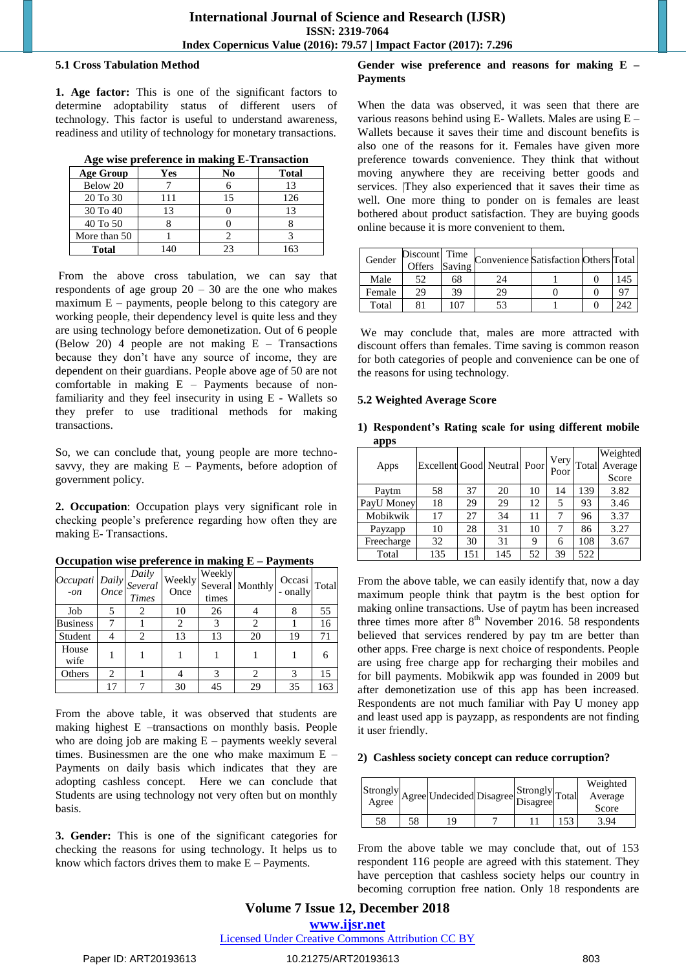#### **5.1 Cross Tabulation Method**

**1. Age factor:** This is one of the significant factors to determine adoptability status of different users of technology. This factor is useful to understand awareness, readiness and utility of technology for monetary transactions.

|  |  |  | Age wise preference in making E-Transaction |  |
|--|--|--|---------------------------------------------|--|
|  |  |  |                                             |  |

| <b>Age Group</b> | Yes  | No | <b>Total</b> |
|------------------|------|----|--------------|
| Below 20         |      |    | 13           |
| 20 To 30         | 111  | 15 | 126          |
| 30 To 40         |      |    |              |
| 40 To 50         |      |    |              |
| More than 50     |      |    |              |
| <b>Total</b>     | l 40 |    | 63           |

From the above cross tabulation, we can say that respondents of age group  $20 - 30$  are the one who makes maximum  $E -$  payments, people belong to this category are working people, their dependency level is quite less and they are using technology before demonetization. Out of 6 people (Below 20) 4 people are not making E – Transactions because they don"t have any source of income, they are dependent on their guardians. People above age of 50 are not comfortable in making E – Payments because of nonfamiliarity and they feel insecurity in using E - Wallets so they prefer to use traditional methods for making transactions.

So, we can conclude that, young people are more technosavvy, they are making  $E -$  Payments, before adoption of government policy.

**2. Occupation**: Occupation plays very significant role in checking people"s preference regarding how often they are making E- Transactions.

|                 |                | Daily<br>$\begin{vmatrix} Occupati & Daily & Duity \\ -on & Once & Triv. \end{vmatrix}$<br><b>Times</b> | Weekly<br>Once | Weekly<br>times | Several Monthly | Occasi<br>- onally | Total |
|-----------------|----------------|---------------------------------------------------------------------------------------------------------|----------------|-----------------|-----------------|--------------------|-------|
| Job             |                | 2                                                                                                       | 10             | 26              |                 | 8                  | 55    |
| <b>Business</b> | 7              |                                                                                                         | 2              | 3               | 2               |                    | 16    |
| Student         | 4              | $\overline{c}$                                                                                          | 13             | 13              | 20              | 19                 | 71    |
| House<br>wife   |                |                                                                                                         |                |                 |                 |                    | 6     |
| Others          | $\overline{c}$ |                                                                                                         |                | 3               | $\overline{c}$  | $\mathcal{R}$      | 15    |
|                 | 17             |                                                                                                         | 30             | 45              | 29              | 35                 | 163   |

**Occupation wise preference in making E – Payments**

From the above table, it was observed that students are making highest E –transactions on monthly basis. People who are doing job are making  $E$  – payments weekly several times. Businessmen are the one who make maximum E – Payments on daily basis which indicates that they are adopting cashless concept. Here we can conclude that Students are using technology not very often but on monthly basis.

**3. Gender:** This is one of the significant categories for checking the reasons for using technology. It helps us to know which factors drives them to make  $E -$  Payments.

#### **Gender wise preference and reasons for making E – Payments**

When the data was observed, it was seen that there are various reasons behind using E- Wallets. Males are using E – Wallets because it saves their time and discount benefits is also one of the reasons for it. Females have given more preference towards convenience. They think that without moving anywhere they are receiving better goods and services. |They also experienced that it saves their time as well. One more thing to ponder on is females are least bothered about product satisfaction. They are buying goods online because it is more convenient to them.

| Gender | Discount Time<br>Offers | Saving | Convenience Satisfaction Others Total |  |     |
|--------|-------------------------|--------|---------------------------------------|--|-----|
| Male   | 52                      | 68     | 24                                    |  | 145 |
| Female | 29                      | 39     | 29                                    |  | 97  |
| Total  |                         | .07    | 53                                    |  |     |

We may conclude that, males are more attracted with discount offers than females. Time saving is common reason for both categories of people and convenience can be one of the reasons for using technology.

#### **5.2 Weighted Average Score**

| apps       |                             |     |     |    |              |       |          |
|------------|-----------------------------|-----|-----|----|--------------|-------|----------|
|            |                             |     |     |    |              |       | Weighted |
| Apps       | Excellent Good Neutral Poor |     |     |    | Very<br>Poor | Total | Average  |
|            |                             |     |     |    |              |       | Score    |
| Paytm      | 58                          | 37  | 20  | 10 | 14           | 139   | 3.82     |
| PayU Money | 18                          | 29  | 29  | 12 | 5            | 93    | 3.46     |
| Mobikwik   | 17                          | 27  | 34  | 11 |              | 96    | 3.37     |
| Payzapp    | 10                          | 28  | 31  | 10 | 7            | 86    | 3.27     |
| Freecharge | 32                          | 30  | 31  | 9  | 6            | 108   | 3.67     |
| Total      | 135                         | 151 | 145 | 52 | 39           | 522   |          |

**1) Respondent's Rating scale for using different mobile** 

From the above table, we can easily identify that, now a day maximum people think that paytm is the best option for making online transactions. Use of paytm has been increased three times more after  $8<sup>th</sup>$  November 2016. 58 respondents believed that services rendered by pay tm are better than other apps. Free charge is next choice of respondents. People are using free charge app for recharging their mobiles and for bill payments. Mobikwik app was founded in 2009 but after demonetization use of this app has been increased. Respondents are not much familiar with Pay U money app and least used app is payzapp, as respondents are not finding it user friendly.

#### **2) Cashless society concept can reduce corruption?**

|    |    | $ {Strongly} _{\text{Agree}}  \text{Undecided}  \text{Disagree}  \text{Disagree} ^{10}$ | $ \text{Strongly} _{\text{Total}}$ |    | Weighted<br>Average<br>Score |
|----|----|-----------------------------------------------------------------------------------------|------------------------------------|----|------------------------------|
| 58 | 58 | 10                                                                                      |                                    | 53 | 3.94                         |

From the above table we may conclude that, out of 153 respondent 116 people are agreed with this statement. They have perception that cashless society helps our country in becoming corruption free nation. Only 18 respondents are

### **Volume 7 Issue 12, December 2018 www.ijsr.net** Licensed Under Creative Commons Attribution CC BY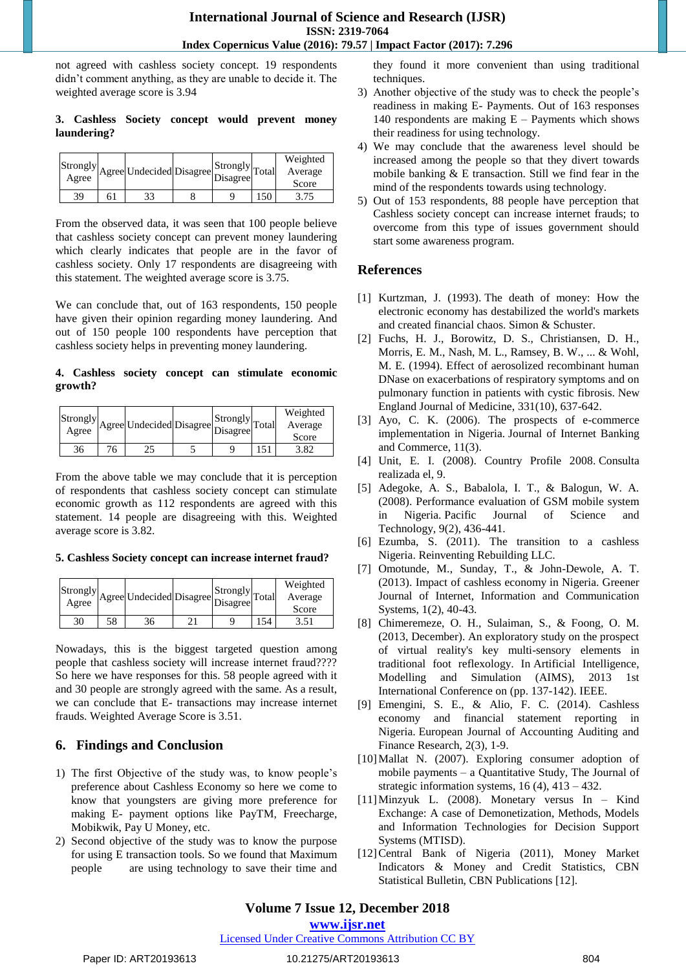not agreed with cashless society concept. 19 respondents didn"t comment anything, as they are unable to decide it. The weighted average score is 3.94

#### **3. Cashless Society concept would prevent money laundering?**

|    | $\begin{array}{c} \left\vert \text{Strongly} \right\vert \text{Agreel} \text{Undecided} \text{Disagree} \end{array} \begin{array}{c} \left\vert \text{Strongly} \right\vert \text{Total} \end{array}$ |  |     | Weighted<br>Average<br>Score |
|----|-------------------------------------------------------------------------------------------------------------------------------------------------------------------------------------------------------|--|-----|------------------------------|
|    |                                                                                                                                                                                                       |  |     |                              |
| 39 |                                                                                                                                                                                                       |  | 150 | 3.75                         |

From the observed data, it was seen that 100 people believe that cashless society concept can prevent money laundering which clearly indicates that people are in the favor of cashless society. Only 17 respondents are disagreeing with this statement. The weighted average score is 3.75.

We can conclude that, out of 163 respondents, 150 people have given their opinion regarding money laundering. And out of 150 people 100 respondents have perception that cashless society helps in preventing money laundering.

#### **4. Cashless society concept can stimulate economic growth?**

| Strongly<br>Agree | Agree Undecided Disagree Disagree Ir | $ \text{Strongly} _{\text{Total}}$ | Weighted<br>Average<br>Score |
|-------------------|--------------------------------------|------------------------------------|------------------------------|
| 36                |                                      |                                    |                              |

From the above table we may conclude that it is perception of respondents that cashless society concept can stimulate economic growth as 112 respondents are agreed with this statement. 14 people are disagreeing with this. Weighted average score is 3.82.

#### **5. Cashless Society concept can increase internet fraud?**

|    |    | $ {\rm Strongly} _{\rm Agree} {\rm Undecided} {\rm Disagree} {\rm Disagree} ^{107}$ | $ \text{Strongly} _{\text{Total}}$ | Weighted<br>Average<br>Score |
|----|----|-------------------------------------------------------------------------------------|------------------------------------|------------------------------|
| 30 | 58 | 36                                                                                  |                                    | 3.51                         |

Nowadays, this is the biggest targeted question among people that cashless society will increase internet fraud???? So here we have responses for this. 58 people agreed with it and 30 people are strongly agreed with the same. As a result, we can conclude that E- transactions may increase internet frauds. Weighted Average Score is 3.51.

# **6. Findings and Conclusion**

- 1) The first Objective of the study was, to know people"s preference about Cashless Economy so here we come to know that youngsters are giving more preference for making E- payment options like PayTM, Freecharge, Mobikwik, Pay U Money, etc.
- 2) Second objective of the study was to know the purpose for using E transaction tools. So we found that Maximum people are using technology to save their time and

they found it more convenient than using traditional techniques.

- 3) Another objective of the study was to check the people"s readiness in making E- Payments. Out of 163 responses 140 respondents are making  $E -$  Payments which shows their readiness for using technology.
- 4) We may conclude that the awareness level should be increased among the people so that they divert towards mobile banking & E transaction. Still we find fear in the mind of the respondents towards using technology.
- 5) Out of 153 respondents, 88 people have perception that Cashless society concept can increase internet frauds; to overcome from this type of issues government should start some awareness program.

# **References**

- [1] Kurtzman, J. (1993). The death of money: How the electronic economy has destabilized the world's markets and created financial chaos. Simon & Schuster.
- [2] Fuchs, H. J., Borowitz, D. S., Christiansen, D. H., Morris, E. M., Nash, M. L., Ramsey, B. W., ... & Wohl, M. E. (1994). Effect of aerosolized recombinant human DNase on exacerbations of respiratory symptoms and on pulmonary function in patients with cystic fibrosis. New England Journal of Medicine, 331(10), 637-642.
- [3] Ayo, C. K. (2006). The prospects of e-commerce implementation in Nigeria. Journal of Internet Banking and Commerce, 11(3).
- [4] Unit, E. I. (2008). Country Profile 2008. Consulta realizada el, 9.
- [5] Adegoke, A. S., Babalola, I. T., & Balogun, W. A. (2008). Performance evaluation of GSM mobile system in Nigeria. Pacific Journal of Science and Technology, 9(2), 436-441.
- [6] Ezumba, S. (2011). The transition to a cashless Nigeria. Reinventing Rebuilding LLC.
- [7] Omotunde, M., Sunday, T., & John-Dewole, A. T. (2013). Impact of cashless economy in Nigeria. Greener Journal of Internet, Information and Communication Systems, 1(2), 40-43.
- [8] Chimeremeze, O. H., Sulaiman, S., & Foong, O. M. (2013, December). An exploratory study on the prospect of virtual reality's key multi-sensory elements in traditional foot reflexology. In Artificial Intelligence, Modelling and Simulation (AIMS), 2013 1st International Conference on (pp. 137-142). IEEE.
- [9] Emengini, S. E., & Alio, F. C. (2014). Cashless economy and financial statement reporting in Nigeria. European Journal of Accounting Auditing and Finance Research, 2(3), 1-9.
- [10]Mallat N. (2007). Exploring consumer adoption of mobile payments – a Quantitative Study, The Journal of strategic information systems, 16 (4), 413 – 432.
- [11]Minzyuk L. (2008). Monetary versus In Kind Exchange: A case of Demonetization, Methods, Models and Information Technologies for Decision Support Systems (MTISD).
- [12]Central Bank of Nigeria (2011), Money Market Indicators & Money and Credit Statistics, CBN Statistical Bulletin, CBN Publications [12].

# **Volume 7 Issue 12, December 2018**

#### **www.ijsr.net**

Licensed Under Creative Commons Attribution CC BY